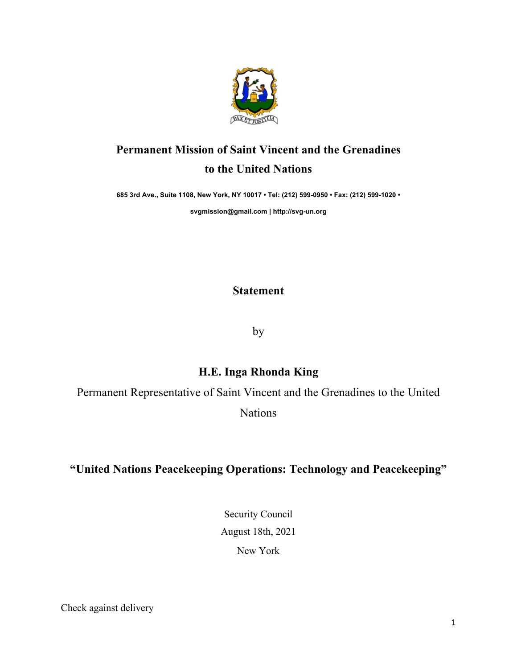

## **Permanent Mission of Saint Vincent and the Grenadines to the United Nations**

**685 3rd Ave., Suite 1108, New York, NY 10017 • Tel: (212) 599-0950 • Fax: (212) 599-1020 •** 

**svgmission@gmail.com | http://svg-un.org**

**Statement**

by

## **H.E. Inga Rhonda King**

Permanent Representative of Saint Vincent and the Grenadines to the United

Nations

## **"United Nations Peacekeeping Operations: Technology and Peacekeeping"**

Security Council August 18th, 2021

New York

Check against delivery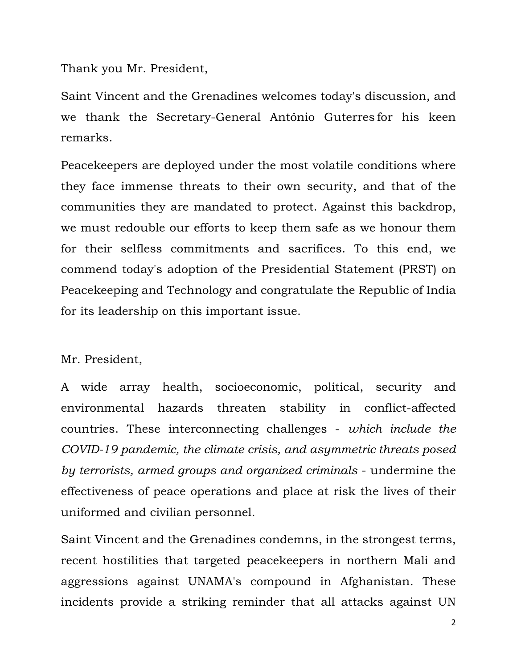Thank you Mr. President,

Saint Vincent and the Grenadines welcomes today's discussion, and we thank the Secretary-General António Guterres for his keen remarks.

Peacekeepers are deployed under the most volatile conditions where they face immense threats to their own security, and that of the communities they are mandated to protect. Against this backdrop, we must redouble our efforts to keep them safe as we honour them for their selfless commitments and sacrifices. To this end, we commend today's adoption of the Presidential Statement (PRST) on Peacekeeping and Technology and congratulate the Republic of India for its leadership on this important issue.

## Mr. President,

A wide array health, socioeconomic, political, security and environmental hazards threaten stability in conflict-affected countries. These interconnecting challenges - *which include the COVID-19 pandemic, the climate crisis, and asymmetric threats posed by terrorists, armed groups and organized criminals* - undermine the effectiveness of peace operations and place at risk the lives of their uniformed and civilian personnel.

Saint Vincent and the Grenadines condemns, in the strongest terms, recent hostilities that targeted peacekeepers in northern Mali and aggressions against UNAMA's compound in Afghanistan. These incidents provide a striking reminder that all attacks against UN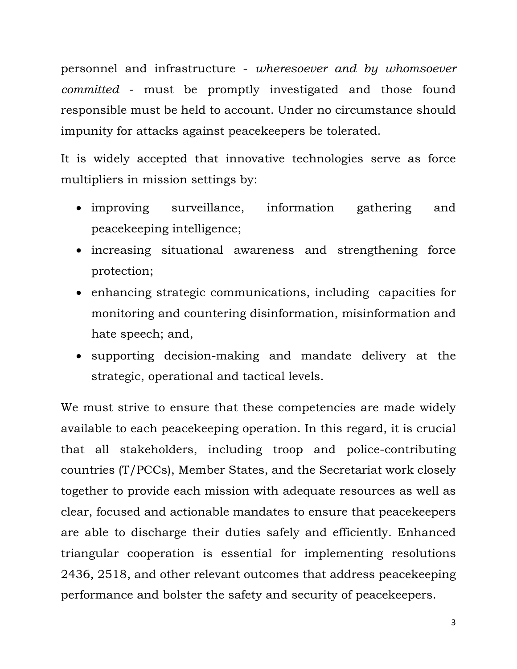personnel and infrastructure - *wheresoever and by whomsoever committed* - must be promptly investigated and those found responsible must be held to account. Under no circumstance should impunity for attacks against peacekeepers be tolerated.

It is widely accepted that innovative technologies serve as force multipliers in mission settings by:

- improving surveillance, information gathering and peacekeeping intelligence;
- increasing situational awareness and strengthening force protection;
- enhancing strategic communications, including capacities for monitoring and countering disinformation, misinformation and hate speech; and,
- supporting decision-making and mandate delivery at the strategic, operational and tactical levels.

We must strive to ensure that these competencies are made widely available to each peacekeeping operation. In this regard, it is crucial that all stakeholders, including troop and police-contributing countries (T/PCCs), Member States, and the Secretariat work closely together to provide each mission with adequate resources as well as clear, focused and actionable mandates to ensure that peacekeepers are able to discharge their duties safely and efficiently. Enhanced triangular cooperation is essential for implementing resolutions 2436, 2518, and other relevant outcomes that address peacekeeping performance and bolster the safety and security of peacekeepers.